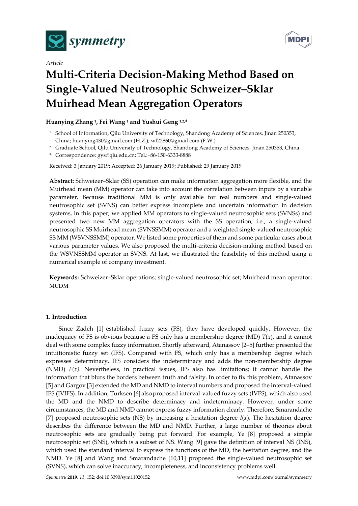

*Article*



# **Multi-Criteria Decision-Making Method Based on Single-Valued Neutrosophic Schweizer–Sklar Muirhead Mean Aggregation Operators**

# **Huanying Zhang 1, Fei Wang 1 and Yushui Geng 1,2, \***

- <sup>1</sup> School of Information, Qilu University of Technology, Shandong Academy of Sciences, Jinan 250353, China; huanying430@gmail.com (H.Z.); wf22860@gmail.com (F.W.)
- <sup>2</sup> Graduate School, Qilu University of Technology, Shandong Academy of Sciences, Jinan 250353, China
- **\*** Correspondence: gys@qlu.edu.cn; Tel.:+86-150-6333-8888

Received: 3 January 2019; Accepted: 26 January 2019; Published: 29 January 2019

**Abstract:** Schweizer–Sklar (SS) operation can make information aggregation more flexible, and the Muirhead mean (MM) operator can take into account the correlation between inputs by a variable parameter. Because traditional MM is only available for real numbers and single-valued neutrosophic set (SVNS) can better express incomplete and uncertain information in decision systems, in this paper, we applied MM operators to single-valued neutrosophic sets (SVNSs) and presented two new MM aggregation operators with the SS operation, i.e., a single-valued neutrosophic SS Muirhead mean (SVNSSMM) operator and a weighted single-valued neutrosophic SS MM (WSVNSSMM) operator. We listed some properties of them and some particular cases about various parameter values. We also proposed the multi-criteria decision-making method based on the WSVNSSMM operator in SVNS. At last, we illustrated the feasibility of this method using a numerical example of company investment.

**Keywords:** Schweizer–Sklar operations; single-valued neutrosophic set; Muirhead mean operator; MCDM

## **1. Introduction**

Since Zadeh [1] established fuzzy sets (FS), they have developed quickly. However, the inadequacy of FS is obvious because a FS only has a membership degree (MD)  $T(x)$ , and it cannot deal with some complex fuzzy information. Shortly afterward, Atanassov [2–5] further presented the intuitionistic fuzzy set (IFS). Compared with FS, which only has a membership degree which expresses determinacy, IFS considers the indeterminacy and adds the non-membership degree (NMD)  $F(x)$ . Nevertheless, in practical issues, IFS also has limitations; it cannot handle the information that blurs the borders between truth and falsity. In order to fix this problem, Atanassov [5] and Gargov [3] extended the MD and NMD to interval numbers and proposed the interval-valued IFS (IVIFS). In addition, Turksen [6] alsoproposed interval-valued fuzzy sets (IVFS), which also used the MD and the NMD to describe determinacy and indeterminacy. However, under some circumstances, the MD and NMD cannot express fuzzy information clearly. Therefore, Smarandache [7] proposed neutrosophic sets (NS) by increasing a hesitation degree  $I(x)$ . The hesitation degree describes the difference between the MD and NMD. Further, a large number of theories about neutrosophic sets are gradually being put forward. For example, Ye [8] proposed a simple neutrosophic set (SNS), which is a subset of NS. Wang [9] gave the definition of interval NS (INS), which used the standard interval to express the functions of the MD, the hesitation degree, and the NMD. Ye [8] and Wang and Smarandache [10,11] proposed the single-valued neutrosophic set (SVNS), which can solve inaccuracy, incompleteness, and inconsistency problems well.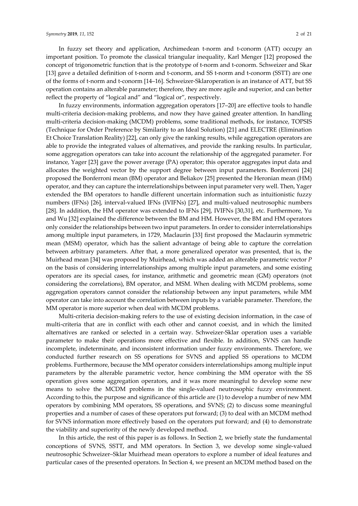In fuzzy set theory and application, Archimedean t-norm and t-conorm (ATT) occupy an important position. To promote the classical triangular inequality, Karl Menger [12] proposed the concept of trigonometric function that is the prototype of t-norm and t-conorm. Schweizer and Skar [13] gave a detailed definition of t-norm and t-conorm, and SS t-norm and t-conorm (SSTT) are one of the forms of t-norm and t-conorm [14–16]. Schweizer-Sklaroperation is an instance of ATT, but SS operation contains an alterable parameter; therefore, they are more agile and superior, and can better reflect the property of "logical and" and "logical or", respectively.

In fuzzy environments, information aggregation operators [17–20] are effective tools to handle multi-criteria decision-making problems, and now they have gained greater attention. In handling multi-criteria decision-making (MCDM) problems, some traditional methods, for instance, TOPSIS (Technique for Order Preference by Similarity to an Ideal Solution) [21] and ELECTRE (Elimination Et Choice Translation Reality) [22], can only give the ranking results, while aggregation operators are able to provide the integrated values of alternatives, and provide the ranking results. In particular, some aggregation operators can take into account the relationship of the aggregated parameter. For instance, Yager [23] gave the power average (PA) operator; this operator aggregates input data and allocates the weighted vector by the support degree between input parameters. Bonferroni [24] proposed the Bonferroni mean (BM) operator and Beliakov [25] presented the Heronian mean (HM) operator, and they can capture the interrelationships between input parameter very well. Then, Yager extended the BM operators to handle different uncertain information such as intuitionistic fuzzy numbers (IFNs) [26], interval-valued IFNs (IVIFNs) [27], and multi-valued neutrosophic numbers [28]. In addition, the HM operator was extended to IFNs [29], IVIFNs [30,31], etc. Furthermore, Yu and Wu [32] explained the difference between the BM and HM. However, the BM and HM operators only consider the relationships between two input parameters. In order to consider interrelationships among multiple input parameters, in 1729, Maclaurin [33] first proposed the Maclaurin symmetric mean (MSM) operator, which has the salient advantage of being able to capture the correlation between arbitrary parameters. After that, a more generalized operator was presented, that is, the Muirhead mean [34] was proposed by Muirhead, which was added an alterable parametric vector *P* on the basis of considering interrelationships among multiple input parameters, and some existing operators are its special cases, for instance, arithmetic and geometric mean (GM) operators (not considering the correlations), BM operator, and MSM. When dealing with MCDM problems, some aggregation operators cannot consider the relationship between any input parameters, while MM operator can take into account the correlation between inputs by a variable parameter. Therefore, the MM operator is more superior when deal with MCDM problems.

Multi-criteria decision-making refers to the use of existing decision information, in the case of multi-criteria that are in conflict with each other and cannot coexist, and in which the limited alternatives are ranked or selected in a certain way. Schweizer-Sklar operation uses a variable parameter to make their operations more effective and flexible. In addition, SVNS can handle incomplete, indeterminate, and inconsistent information under fuzzy environments. Therefore, we conducted further research on SS operations for SVNS and applied SS operations to MCDM problems. Furthermore, because the MM operator considers interrelationships among multiple input parameters by the alterable parametric vector, hence combining the MM operator with the SS operation gives some aggregation operators, and it was more meaningful to develop some new means to solve the MCDM problems in the single-valued neutrosophic fuzzy environment. According to this, the purpose and significance of this article are (1) to develop a number of new MM operators by combining MM operators, SS operations, and SVNS; (2) to discuss some meaningful properties and a number of cases of these operators put forward; (3) to deal with an MCDM method for SVNS information more effectively based on the operators put forward; and (4) to demonstrate the viability and superiority of the newly developed method.

In this article, the rest of this paper is as follows. In Section 2, we briefly state the fundamental conceptions of SVNS, SSTT, and MM operators. In Section 3, we develop some single-valued neutrosophic Schweizer–Sklar Muirhead mean operators to explore a number of ideal features and particular cases of the presented operators. In Section 4, we present an MCDM method based on the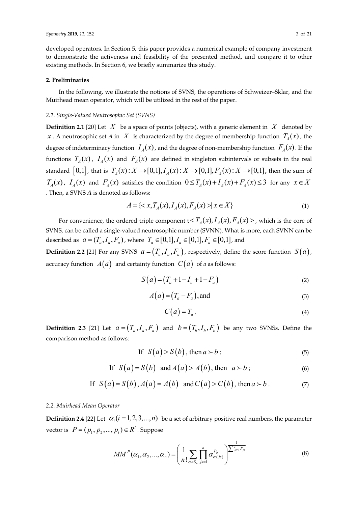developed operators. In Section 5, this paper provides a numerical example of company investment to demonstrate the activeness and feasibility of the presented method, and compare it to other existing methods. In Section 6, we briefly summarize this study.

## **2. Preliminaries**

In the following, we illustrate the notions of SVNS, the operations of Schweizer–Sklar, and the Muirhead mean operator, which will be utilized in the rest of the paper.

## *2.1. Single-Valued Neutrosophic Set (SVNS)*

**Definition 2.1** [20] Let  $X$  be a space of points (objects), with a generic element in  $X$  denoted by *x* . A neutrosophic set *A* in *X* is characterized by the degree of membership function  $T_A(x)$ , the degree of indeterminacy function  $I_A(x)$ , and the degree of non-membership function  $F_A(x)$ . If the functions  $T_A(x)$ ,  $I_A(x)$  and  $F_A(x)$  are defined in singleton subintervals or subsets in the real standard  $[0,1]$ , that is  $T_A(x) : X \to [0,1], I_A(x) : X \to [0,1], F_A(x) : X \to [0,1]$ , then the sum of  $T_A(x)$ ,  $I_A(x)$  and  $F_A(x)$  satisfies the condition  $0 \le T_A(x) + I_A(x) + F_A(x) \le 3$  for any  $x \in X$ . Then, a SVNS *A* is denoted as follows:

$$
A = \{ \langle x, T_A(x), I_A(x), F_A(x) \rangle \mid x \in X \}
$$
 (1)

For convenience, the ordered triple component  $t < T_a(x)$ ,  $I_a(x)$ ,  $F_a(x)$ , which is the core of SVNS, can be called a single-valued neutrosophic number (SVNN). What is more, each SVNN can be described as  $a = (T_a, I_a, F_a)$ , where  $T_a \in [0,1], I_a \in [0,1], F_a \in [0,1]$ , and

**Definition 2.2** [21] For any SVNS  $a = (T_a, I_a, F_a)$ , respectively, define the score function  $S(a)$ , accuracy function  $A(a)$  and certainty function  $C(a)$  of a as follows:

$$
S(a) = (T_a + 1 - I_a + 1 - F_a)
$$
 (2)

$$
A(a) = (T_a - F_a), \text{and} \tag{3}
$$

$$
C(a) = T_a.
$$
 (4)

**Definition 2.3** [21] Let  $a = (T_a, I_a, F_a)$  and  $b = (T_b, I_b, F_b)$  be any two SVNSs. Define the comparison method as follows:

$$
\text{If } S(a) > S(b), \text{ then } a \succ b \tag{5}
$$

If 
$$
S(a) = S(b)
$$
 and  $A(a) > A(b)$ , then  $a > b$ ; (6)

If 
$$
S(a) = S(b), A(a) = A(b)
$$
 and  $C(a) > C(b)$ , then  $a > b$ . (7)

## *2.2. Muirhead Mean Operator*

**Definition 2.4** [22] Let  $\alpha_i$  ( $i = 1, 2, 3, ..., n$ ) be a set of arbitrary positive real numbers, the parameter vector is  $P = (p_1, p_2, ..., p_l) \in R^l$ . Suppose

$$
MM^{P}(\alpha_{1}, \alpha_{2}, ..., \alpha_{n}) = \left(\frac{1}{n!} \sum_{\sigma \in S_{n}} \prod_{j_{s}=1}^{n} \alpha_{\sigma(j_{s})}^{P_{j_{s}}}\right)^{\frac{1}{\sum_{j_{s}=1}^{n} P_{j_{s}}}}
$$
(8)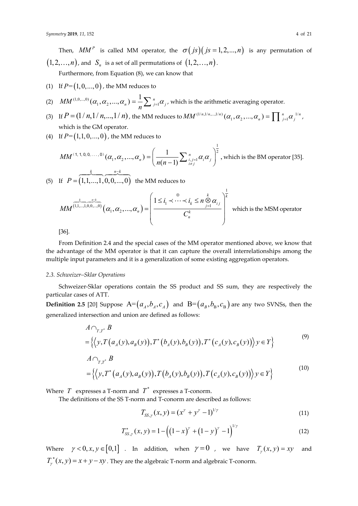Then,  $MM^P$  is called MM operator, the  $\sigma(js)(js = 1,2,...,n)$  is any permutation of  $(1, 2, \ldots, n)$ , and  $S_n$  is a set of all permutations of  $(1, 2, \ldots, n)$ .

Furthermore, from Equation (8), we can know that

(1) If  $P = (1, 0, \ldots, 0)$ , the MM reduces to

(2) 
$$
MM^{(1,0,\dots,0)}(\alpha_1,\alpha_2,\dots,\alpha_n) = \frac{1}{n} \sum_{j=1}^n \alpha_j
$$
, which is the arithmetic averaging operator.

- (3) If  $P = (1 / n, 1 / n, ..., 1 / n)$ , the MM reduces to  $MM^{(1/n,1/n,...,1/n)}(\alpha_1, \alpha_2, ..., \alpha_n) = \prod_{j=1}^n \alpha_j^{1/n}$ , which is the GM operator.
- (4) If  $P = (1,1,0,...,0)$ , the MM reduces to

$$
MM^{(1, 1, 0, 0, \ldots, 0)}(\alpha_1, \alpha_2, \ldots, \alpha_n) = \left(\frac{1}{n(n-1)} \sum_{\substack{i,j=1 \\ i \neq j}}^n \alpha_i \alpha_j\right)^{\frac{1}{2}}, \text{ which is the BM operator [35].}
$$

(5) If  $P = (1, 1, \ldots, 1, 0, 0, \ldots, 0)$ the MM reduces to

$$
MM^{\overbrace{\left(1,1,\ldots,1,0,0,\ldots,0\right)}}^{k}(\alpha_1,\alpha_2,\ldots,\alpha_n) = \left(\frac{1 \leq i_1 \leq \cdots \leq i_k \leq n \underset{j=1}{\otimes} \alpha_{ij}}{C_n^k}\right)^{\overline{k}}
$$
 which is the MSM operator

[36].

From Definition 2.4 and the special cases of the MM operator mentioned above, we know that the advantage of the MM operator is that it can capture the overall interrelationships among the multiple input parameters and it is a generalization of some existing aggregation operators.

#### *2.3. Schweizer–Sklar Operations*

Schweizer-Sklar operations contain the SS product and SS sum, they are respectively the particular cases of ATT.

**Definition 2.5** [20] Suppose  $A = (a_A, b_A, c_A)$  and  $B = (a_B, b_B, c_B)$  are any two SVNSs, then the generalized intersection and union are defined as follows:

$$
A \cap_{T,T^*} B = \{ \langle y, T(a_A(y), a_B(y)), T^*(b_A(y), b_B(y)), T^*(c_A(y), c_B(y)) \rangle y \in Y \}
$$
\n<sup>(9)</sup>

$$
A \cap_{T,T^*} B
$$
  
= { $\langle y, T^*(a_A(y), a_B(y)), T(b_A(y), b_B(y)), T(c_A(y), c_B(y)) \rangle y \in Y \rangle$  (10)

Where  $T$  expresses a T-norm and  $T^*$  expresses a T-conorm.

The definitions of the SS T-norm and T-conorm are described as follows:

$$
T_{SS,\gamma}(x,y) = (x^{\gamma} + y^{\gamma} - 1)^{1/\gamma}
$$
\n(11)

1

$$
T_{SS,\gamma}^*(x,y) = 1 - \left( \left(1 - x\right)^{\gamma} + \left(1 - y\right)^{\gamma} - 1 \right)^{1/\gamma} \tag{12}
$$

Where  $\gamma < 0, x, y \in [0,1]$  . In addition, when  $\gamma = 0$  , we have  $T_{\gamma}(x, y) = xy$  and  $T_{\gamma}^{*}(x, y) = x + y - xy$ . They are the algebraic T-norm and algebraic T-conorm.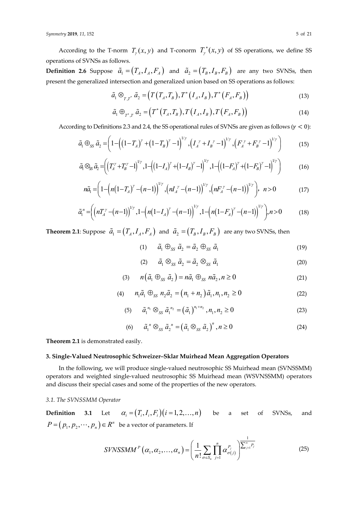According to the T-norm  $T_{\gamma}(x, y)$  and T-conorm  $T_{\gamma}^{*}(x, y)$  of SS operations, we define SS operations of SVNSs as follows.

**Definition 2.6** Suppose  $\tilde{a}_1 = (T_A, I_A, F_A)$  and  $\tilde{a}_2 = (T_B, I_B, F_B)$  are any two SVNSs, then present the generalized intersection and generalized union based on SS operations as follows:

$$
\tilde{a}_1 \otimes_{T,T^*} \tilde{a}_2 = \left(T\left(T_A, T_B\right), T^*\left(I_A, I_B\right), T^*\left(F_A, F_B\right)\right) \tag{13}
$$

$$
\tilde{a}_1 \oplus_{T^*,T} \tilde{a}_2 = \left(T^*\left(T_A, T_B\right), T\left(T_A, I_B\right), T\left(F_A, F_B\right)\right) \tag{14}
$$

According to Definitions 2.3 and 2.4, the SS operational rules of SVNSs are given as follows ( $\gamma$  < 0):

$$
\tilde{a}_1 \oplus_{SS} \tilde{a}_2 = \left(1 - \left(\left(1 - T_A\right)^{\gamma} + \left(1 - T_B\right)^{\gamma} - 1\right)^{1/\gamma}, \left(\frac{1}{A}^{\gamma} + \frac{1}{B}^{\gamma} - 1\right)^{1/\gamma}, \left(\frac{1}{B}^{\gamma} + \frac{1}{B}^{\gamma} - 1\right)^{1/\gamma}\right) \tag{15}
$$

$$
\tilde{a}_{1} \otimes_{S} \tilde{a}_{2} = \left( \left( T_{A}^{\gamma} + T_{B}^{\gamma} - 1 \right)^{1/\gamma}, 1 - \left( \left( 1 - I_{A} \right)^{\gamma} + \left( 1 - I_{B} \right)^{\gamma} - 1 \right)^{1/\gamma}, 1 - \left( \left( 1 - F_{A} \right)^{\gamma} + \left( 1 - F_{B} \right)^{\gamma} - 1 \right)^{1/\gamma} \right) \tag{16}
$$

$$
n\tilde{a}_1 = \left(1 - \left(n\left(1 - T_A\right)^{\gamma} - \left(n - 1\right)\right)^{1/\gamma}, \left(nT_A^{\gamma} - \left(n - 1\right)\right)^{1/\gamma}, \left(nT_A^{\gamma} - \left(n - 1\right)\right)^{1/\gamma}\right), \quad n > 0 \tag{17}
$$

$$
\tilde{a}_1'' = \left( \left( nT_A^{\gamma} - (n-1) \right)^{\nu_{\gamma}}, 1 - \left( n(1-I_A)^{\gamma} - (n-1) \right)^{\nu_{\gamma}}, 1 - \left( n(1-F_A)^{\gamma} - (n-1) \right)^{\nu_{\gamma}} \right), n > 0 \tag{18}
$$

**Theorem 2.1**: Suppose  $\tilde{a}_1 = (T_A, I_A, F_A)$  and  $\tilde{a}_2 = (T_B, I_B, F_B)$  are any two SVNSs, then

(1)  $\tilde{a}_1 \oplus_{ss} \tilde{a}_2 = \tilde{a}_2 \oplus_{ss} \tilde{a}_1$  (19)

$$
(2) \qquad \tilde{a}_1 \otimes_{ss} \tilde{a}_2 = \tilde{a}_2 \otimes_{ss} \tilde{a}_1 \tag{20}
$$

$$
(3) \qquad n\left(\tilde{a}_1 \oplus_{ss} \tilde{a}_2\right) = n\tilde{a}_1 \oplus_{ss} n\tilde{a}_2, n \ge 0 \tag{21}
$$

(4) 
$$
n_1 \tilde{a}_1 \bigoplus_{SS} n_2 \tilde{a}_2 = (n_1 + n_2) \tilde{a}_1, n_1, n_2 \ge 0
$$
 (22)

(5) 
$$
\tilde{a}_1^{n_1} \otimes_{ss} \tilde{a}_1^{n_2} = (\tilde{a}_1)^{n_1 + n_2}, n_1, n_2 \ge 0
$$
 (23)

(6) 
$$
\tilde{a}_1^n \otimes_{ss} \tilde{a}_2^n = (\tilde{a}_1 \otimes_{ss} \tilde{a}_2)^n, n \ge 0
$$
 (24)

**Theorem 2.1** is demonstrated easily.

### **3. Single-Valued Neutrosophic Schweizer–Sklar Muirhead Mean Aggregation Operators**

In the following, we will produce single-valued neutrosophic SS Muirhead mean (SVNSSMM) operators and weighted single-valued neutrosophic SS Muirhead mean (WSVNSSMM) operators and discuss their special cases and some of the properties of the new operators.

## *3.1. The SVNSSMM Operator*

**Definition** 3.1 Let  $\alpha_i = (T_i, I_i, F_i)(i = 1, 2, ..., n)$  be a set of SVNSs, and  $P = (p_1, p_2, \dots, p_n) \in R^n$  be a vector of parameters. If

$$
SIVNSSMM^{P}\left(\alpha_{1},\alpha_{2},\ldots,\alpha_{n}\right)=\left(\frac{1}{n!}\sum_{\sigma\in S_{n}}\prod_{j=1}^{n}\alpha_{\sigma(j)}^{P_{j}}\right)^{\frac{1}{\sum_{j=1}^{n}P_{j}}}
$$
(25)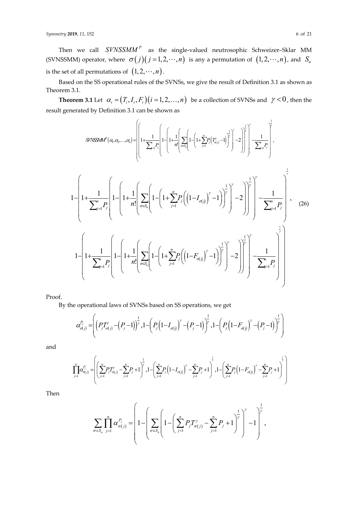Then we call *SVNSSMM<sup>P</sup>* as the single-valued neutrosophic Schweizer–Sklar MM (SVNSSMM) operator, where  $\sigma(j)(j = 1, 2, \dots, n)$  is any a permutation of  $(1, 2, \dots, n)$ , and  $S_n$ is the set of all permutations of  $(1, 2, \dots, n)$ .

Based on the SS operational rules of the SVNSs, we give the result of Definition 3.1 as shown as Theorem 3.1.

**Theorem 3.1** Let  $\alpha_i = (T_i, I_i, F_i)$   $(i = 1, 2, ..., n)$  be a collection of SVNSs and  $\gamma < 0$ , then the result generated by Definition 3.1 can be shown as

$$
SINSSMA^{p}(a_{i}, a_{2},..., a_{i}) = \left[\left(1 + \frac{1}{\sum_{j=1}^{n} P_{j}}\left(1 - \left(1 + \frac{1}{n!}\left[\sum_{\sigma \in S_{n}}\left(1 - \left(1 + \frac{r}{\sum_{j=1}^{n} P_{j}}\left(T_{\sigma(j)}^{p} - 1\right)\right)^{\frac{1}{p}}\right)^{y}\right] - 2\right)\right]^{y} - \frac{1}{\sum_{j=1}^{n} P_{j}}\right],
$$
\n
$$
1 - \left(1 + \frac{1}{\sum_{j=1}^{n} P_{j}}\left(1 - \left(1 + \frac{1}{n!}\left[\sum_{\sigma \in S_{n}}\left(1 - \left(1 + \sum_{j=1}^{n} P_{j}\left(\left(1 - I_{\sigma(j)}\right)^{y} - 1\right)\right)^{\frac{1}{p}}\right)^{y} - 2\right)\right)^{\frac{1}{p}}\right)^{y} - 2\right)\right]^{y} - \frac{1}{\sum_{j=1}^{n} P_{j}}\right],
$$
\n
$$
1 - \left(1 + \frac{1}{\sum_{j=1}^{n} P_{j}}\left(1 - \left(1 + \frac{1}{n!}\left[\sum_{\sigma \in S_{n}}\left(1 - \left(1 + \sum_{j=1}^{n} P_{j}\left(\left(1 - F_{\sigma(j)}\right)^{y} - 1\right)\right)^{\frac{1}{p}}\right)^{y} - 2\right)\right)^{\frac{1}{p}}\right)^{y} - 2\right)\right) + \frac{1}{\sum_{j=1}^{n} P_{j}}
$$
\n(26)

Proof.

By the operational laws of SVNSs based on SS operations, we get

$$
\alpha_{\sigma(j)}^{P_j} = \left( \left( P_j T_{\sigma(j)}^{\gamma} - \left( P_j - 1 \right) \right)^{\frac{1}{\gamma}}, 1 - \left( P_j \left( 1 - I_{\sigma(j)} \right)^{\gamma} - \left( P_j - 1 \right) \right)^{\frac{1}{\gamma}}, 1 - \left( P_j \left( 1 - F_{\sigma(j)} \right)^{\gamma} - \left( P_j - 1 \right) \right)^{\frac{1}{\gamma}} \right)
$$

and

$$
\prod_{j=1}^n \alpha_{\sigma(j)}^{P_j} = \left( \left( \sum_{j=1}^n P_j T'_{\sigma(j)} - \sum_{j=1}^n P_j + 1 \right)^{\frac{1}{\gamma}}, 1 - \left( \sum_{j=1}^n P_j \left( 1 - I_{\sigma(j)} \right)^{\gamma} - \sum_{j=1}^n P_j + 1 \right)^{\frac{1}{\gamma}}, 1 - \left( \sum_{j=1}^n P_j \left( 1 - F_{\sigma(j)} \right)^{\gamma} - \sum_{j=1}^n P_j + 1 \right)^{\frac{1}{\gamma}} \right)
$$

Then

$$
\sum_{\sigma \in S_n} \prod_{j=1}^n \alpha_{\sigma(j)}^{P_j} = \left(1 - \left(\sum_{\sigma \in S_n} \left(1 - \left(\sum_{j=1}^n P_j T_{\sigma(j)}^{\gamma} - \sum_{j=1}^n P_j + 1\right)^{\frac{1}{\gamma}}\right)^{\gamma} - 1\right)^{\frac{1}{\gamma}},
$$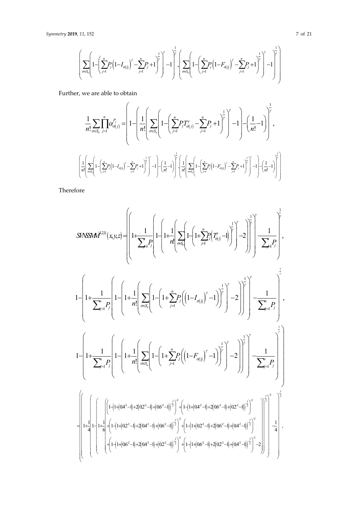$$
\left(\sum_{\sigma \in S_n}\left(1-\left(\sum_{j=1}^n P_j\left(1-I_{\sigma(j)}\right)^{\gamma}-\sum_{j=1}^n P_j+1\right)^{\frac{1}{\gamma}}\right)^{\frac{1}{\gamma}}-1\right)^{\frac{1}{\gamma}}\cdot\left(\sum_{\sigma \in S_n}\left(1-\left(\sum_{j=1}^n P_j\left(1-F_{\sigma(j)}\right)^{\gamma}-\sum_{j=1}^n P_j+1\right)^{\frac{1}{\gamma}}\right)^{\frac{1}{\gamma}}\right)^{\frac{1}{\gamma}}\right)^{\frac{1}{\gamma}}
$$

Further, we are able to obtain

$$
\frac{1}{n!} \sum_{\sigma \in S_n} \prod_{j=1}^n \alpha_{\sigma(j)}^{P_j} = \left( 1 - \left( \frac{1}{n!} \left( \sum_{\sigma \in S_n} \left( 1 - \left( \sum_{j=1}^n P_j T_{\sigma(j)}^{\prime} - \sum_{j=1}^n P_j + 1 \right)^{\frac{1}{\gamma}} \right)^{\gamma} - 1 \right) - \left( \frac{1}{n!} - 1 \right) \right)^{\frac{1}{\gamma}},
$$
\n
$$
\left( \frac{1}{n!} \left( \sum_{\mu \in S_n} \left( 1 - \left( \sum_{j=1}^n P_j (1 - I_{\sigma(j)})^{\prime} - \sum_{j=1}^n P_j + 1 \right)^{\frac{1}{\gamma}} \right)^{\gamma} - 1 \right) - \left( \frac{1}{n!} - 1 \right)^{\frac{1}{\gamma}} \left( \frac{1}{n!} \left( \sum_{\mu \in S_n} \left( 1 - \left( \sum_{j=1}^n P_j (1 - F_{\sigma(j)})^{\prime} - \sum_{j=1}^n P_j + 1 \right)^{\frac{1}{\gamma}} \right)^{\frac{1}{\gamma}} - 1 \right) - \left( \frac{1}{n!} - 1 \right)^{\frac{1}{\gamma}} \right)
$$

Therefore

$$
SINSSM \hat{H}^{2,0}(x,y,z) = \left( \left[ 1 + \frac{1}{\sum_{j=1}^{n} P_{j}} \left[ 1 - \left( 1 + \frac{1}{n!} \left[ \sum_{\sigma \in S_{n}} \left( 1 - \left( 1 + \frac{y}{\sum_{j=1}^{n} P_{j}} (T'_{\sigma(j)} - 1) \right)^{1} \right)^{1} \right]^{2} - 2 \right] \right]^{1/2} \right) \left. \sum_{j=1}^{n} P_{j} \right),
$$
\n
$$
1 - \left( 1 + \frac{1}{\sum_{j=1}^{n} P_{j}} \left[ 1 - \left( 1 + \frac{1}{n!} \left( \sum_{\sigma \in S_{n}} \left( 1 - \left( 1 + \frac{y}{\sum_{j=1}^{n} P_{j}} \left( \left( 1 - I_{\sigma(j)} \right)^{y} - 1 \right) \right)^{1} \right)^{1} - 2 \right) \right]^{1/2} \right) - \frac{1}{\sum_{j=1}^{n} P_{j}} \right),
$$
\n
$$
1 - \left( 1 + \frac{1}{\sum_{j=1}^{n} P_{j}} \left[ 1 - \left( 1 + \frac{1}{n!} \left( \sum_{\sigma \in S_{n}} \left( 1 - \left( 1 + \sum_{j=1}^{n} P_{j} \left( \left( 1 - I_{\sigma(j)} \right)^{y} - 1 \right) \right)^{1} \right)^{1} \right)^{1/2} - 2 \right) \right]^{1/2} \right) \left. - \frac{1}{\sum_{j=1}^{n} P_{j}} \right)
$$
\n
$$
= \left[ \left( 1 + \left( 1 + \left( 1 + \left( 1 + \frac{1}{n} \right) + 2 \left( 1 + \frac{1}{n} \right) \right)^{1/2} + \left( 1 + \left( 1 + \left( 1 + \frac{1}{n} \right) + 2 \left( 1 + \frac{1}{n} \right) \right)^{1/2} \right)^{1/2} + \left( 1 + \left( 1 + \left( 1 + \frac{1}{n} \right) + 2 \left( 1 + \frac{1}{n} \right) \right)^{1/2} \right)^{1/2} \right] \right)^{1/2
$$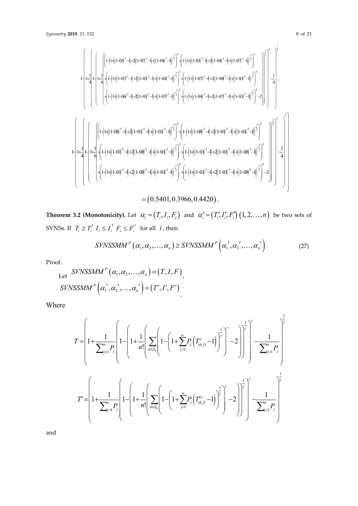$$
\begin{bmatrix} \begin{pmatrix} \begin{pmatrix} \frac{1}{2} & \frac{1}{2} \\ \frac{1}{2} & \frac{1}{2} \end{pmatrix} + \frac{1}{2} \begin{pmatrix} \frac{1}{2} \begin{pmatrix} \frac{1}{2} \end{pmatrix} + 2 \left( \frac{1}{2} \begin{pmatrix} -\frac{1}{2} \end{pmatrix} + 2 \left( \frac{1}{2} \begin{pmatrix} -\frac{1}{2} \end{pmatrix} \end{pmatrix} + \frac{1}{2} \begin{pmatrix} \frac{1}{2} \end{pmatrix} \begin{pmatrix} -\frac{1}{2} \end{pmatrix} + \frac{1}{2} \begin{pmatrix} \frac{1}{2} \end{pmatrix} \begin{pmatrix} \frac{1}{2} \end{pmatrix} + \frac{1}{2} \begin{pmatrix} \frac{1}{2} \begin{pmatrix} \frac{1}{2} \end{pmatrix} + \frac{1}{2} \begin{pmatrix} \frac{1}{2} \begin{pmatrix} \frac{1}{2} \end{pmatrix} + \frac{1}{2} \begin{pmatrix} \frac{1}{2} \end{pmatrix} + \frac{1}{2} \begin{pmatrix} \frac{1}{2} \end{pmatrix} + \frac{1}{2} \begin{pmatrix} \frac{1}{2} \end{pmatrix} + \frac{1}{2} \begin{pmatrix} \frac{1}{2} \end{pmatrix} + \frac{1}{2} \begin{pmatrix} \frac{1}{2} \end{pmatrix} + \frac{1}{2} \begin{pmatrix} \frac{1}{2} \end{pmatrix} + \frac{1}{2} \begin{pmatrix} \frac{1}{2} \end{pmatrix} + \frac{1}{2} \begin{pmatrix} \frac{1}{2} \end{pmatrix} + \frac{1}{2} \begin{pmatrix} \frac{1}{2} \end{pmatrix} + \frac{1}{2} \begin{pmatrix} \frac{1}{2} \end{pmatrix} + \frac{1}{2} \begin{pmatrix} \frac{1}{2} \end{pmatrix} + \frac{1}{2} \begin{pmatrix} \frac{1}{2} \end{pmatrix} + \frac{1}{2} \begin{pmatrix} \frac{1}{2} \end{pmatrix} + \frac{1}{2} \begin{pmatrix} \frac{1}{2} \end{pmatrix} + \frac{1}{2} \begin{pmatrix} \frac{1}{2} \end{pmatrix} + \frac{1}{2} \begin{pmatrix} \
$$

**Theorem 3.2 (Monotonicity).** Let  $\alpha_i = (T_i, I_i, F_i)$  and  $\alpha'_i = (T'_i, I'_i, F'_i)$   $(1, 2, ..., n)$  be two sets of SVNSs. If  $T_i \ge T'_i$   $I_i \le I'_i$   $F_i \le F'_i$  for all  $i$ , then

$$
SVNSSMM^{P}\left(\alpha_{1},\alpha_{2},\ldots,\alpha_{n}\right) \geq SVNSSMM^{P}\left(\alpha_{1}^{'},\alpha_{2}^{'},\ldots,\alpha_{n}^{'}\right)
$$
\n(27)

Proof.

Let 
$$
SVNSSMM^P(\alpha_1, \alpha_2, ..., \alpha_n) = (T, I, F)
$$
,  
\n $SVNSSMM^P(\alpha_1', \alpha_2', ..., \alpha_n') = (T', I', F')$ 

Where

$$
T = \left(1 + \frac{1}{\sum_{j=1}^{n} P_j}\left(1 - \left(1 + \frac{1}{n!}\left(\sum_{\sigma \in S_n} \left(1 - \left(1 + \sum_{j=1}^{n} P_j \left(T_{\sigma(j)}^{\nu} - 1\right)\right)^{\frac{1}{\gamma}}\right)^{\gamma} - 2\right)\right)^{\frac{1}{\gamma}}\right)^{\gamma} - \frac{1}{\sum_{j=1}^{n} P_j}\left(1 + \frac{1}{\sum_{j=1}^{n} P_j}\left(1 - \left(1 + \sum_{j=1}^{n} P_j \left(T_{\sigma(j)}^{\nu} - 1\right)\right)^{\frac{1}{\gamma}}\right)^{\gamma} - 2\right)\right)^{\frac{1}{\gamma}}\right)^{\gamma}
$$

$$
T' = \left(1 + \frac{1}{\sum_{j=1}^{n} P_j}\left(1 - \left(1 + \frac{1}{n!}\left(\sum_{\sigma \in S_n} \left(1 - \left(1 + \sum_{j=1}^{n} P_j \left(T_{\sigma(j)}^{\nu} - 1\right)\right)^{\frac{1}{\gamma}}\right)^{\gamma} - 2\right)\right)^{\frac{1}{\gamma}}\right)^{\gamma} - \frac{1}{\sum_{j=1}^{n} P_j}\right)
$$

and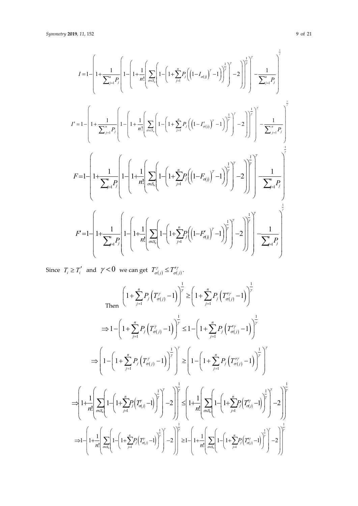$$
I = 1 - \left[1 + \frac{1}{\sum_{j=1}^{n} P_{j}} \left[1 - \left(1 + \frac{1}{n!} \left( \sum_{\sigma \in S_{n}} \left(1 - \left(1 + \sum_{j=1}^{n} P_{j} \left( \left(1 - I_{\sigma(j)} \right)^{y} - 1 \right) \right)^{\frac{1}{y}} \right)^{y} - 2\right) \right]^{1} \right]^{y} - \frac{1}{\sum_{j=1}^{n} P_{j}} \right]
$$
  

$$
I' = 1 - \left[1 + \frac{1}{\sum_{j=1}^{n} P_{j}} \left(1 - \left(1 + \frac{1}{n!} \left( \sum_{\sigma \in S_{n}} \left(1 - \left(1 + \sum_{j=1}^{n} P_{j} \left( \left(1 - I_{\sigma(j)} \right)^{y} - 1 \right) \right)^{\frac{1}{y}} \right)^{y} - 2\right) \right]^{1} \right)^{y} - \frac{1}{\sum_{j=1}^{n} P_{j}} \right]
$$
  

$$
F = 1 - \left[1 + \frac{1}{\sum_{j=1}^{n} P_{j}} \left(1 - \left(1 + \frac{1}{n!} \left( \sum_{\sigma \in S_{n}} \left(1 - \left(1 + \sum_{j=1}^{n} P_{j} \left( \left(1 - F_{\sigma(j)} \right)^{y} - 1 \right) \right)^{\frac{1}{y}} \right)^{y} - 2\right) \right]^{1} \right)^{y} - \frac{1}{\sum_{j=1}^{n} P_{j}} \right]^{1} - \frac{1}{\sum_{j=1}^{n} P_{j}}
$$
  

$$
F' = 1 - \left[1 + \frac{1}{\sum_{j=1}^{n} P_{j}} \left(1 - \left(1 + \frac{1}{n!} \left( \sum_{\sigma \in S_{n}} \left(1 - \left(1 + \sum_{j=1}^{n} P_{j} \left( \left(1 - F_{\sigma(j)} \right)^{y} - 1 \right) \right)^{\frac{1}{y}} \right)^{y} - 2\right) \right)^{\frac{1}{y}} \right)^{y} - 2 \right]^{1} \left[\frac{1}{\sum_{j=1}^{n} P_{j}} \right]^{1}
$$

Since  $T_i \geq T'_i$  and  $\gamma < 0$  we can get  $T'_{\sigma(j)} \leq T''_{\sigma(j)}$ .

$$
\text{Then } \left(1+\sum_{j=1}^{n} P_{j} \left(T_{\sigma(j)}^{y}-1\right)\right)^{\frac{1}{y}} \geq \left(1+\sum_{j=1}^{n} P_{j} \left(T_{\sigma(j)}^{y}-1\right)\right)^{\frac{1}{y}}
$$
\n
$$
\Rightarrow 1-\left(1+\sum_{j=1}^{n} P_{j} \left(T_{\sigma(j)}^{y}-1\right)\right)^{\frac{1}{y}} \leq 1-\left(1+\sum_{j=1}^{n} P_{j} \left(T_{\sigma(j)}^{y}-1\right)\right)^{\frac{1}{y}}
$$
\n
$$
\Rightarrow \left(1-\left(1+\sum_{j=1}^{n} P_{j} \left(T_{\sigma(j)}^{y}-1\right)\right)^{\frac{1}{y}}\right)^{\frac{1}{y}} \geq \left(1-\left(1+\sum_{j=1}^{n} P_{j} \left(T_{\sigma(j)}^{y}-1\right)\right)^{\frac{1}{y}}\right)^{\frac{1}{y}}
$$
\n
$$
\Rightarrow \left(1+\frac{1}{n!}\left[\sum_{\sigma \in S_{n}}\left(1-\left(1+\sum_{j=1}^{n} P_{j} \left(T_{\sigma(j)}^{y}-1\right)\right)^{\frac{1}{y}}\right)\right]^{2}-2\right)\right]^{\frac{1}{y}} \leq \left(1+\frac{1}{n!}\left[\sum_{\sigma \in S_{n}}\left(1-\left(1+\sum_{j=1}^{n} P_{j} \left(T_{\sigma(j)}^{y}-1\right)\right)^{\frac{1}{y}}\right)^{\frac{1}{y}}\right]-2\right)\right]^{\frac{1}{y}}
$$
\n
$$
\Rightarrow 1-\left(1+\frac{1}{n!}\left[\sum_{\sigma \in S_{n}}\left(1-\left(1+\sum_{j=1}^{n} P_{j} \left(T_{\sigma(j)}^{y}-1\right)\right)^{\frac{1}{y}}\right)^{\frac{1}{y}}-2\right)\right]^{\frac{1}{y}} \geq 1-\left(1+\frac{1}{n!}\left[\sum_{\sigma \in S_{n}}\left(1-\left(1+\sum_{j=1}^{n} P_{j} \left(T_{\sigma(j)}^{y}-1\right)\right)^{\frac{1}{y}}\right)^{\frac{1}{y}}-2\right)\right]^{\frac{1}{y}}
$$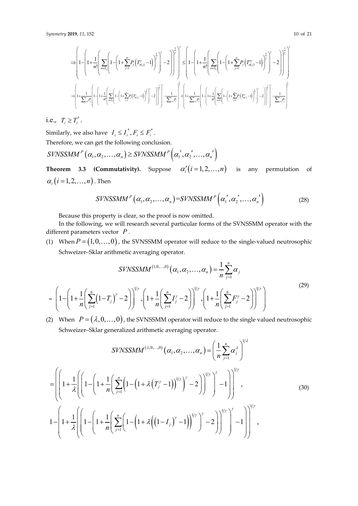$$
\supset \left[1-\left(1+\frac{1}{n!}\left(\sum_{\sigma\in S_n}\left(1-\left(1+\sum_{j=1}^nP_j\left(T''_{\sigma(j)}-1\right)\right)^{\frac{1}{r}}\right)^{\gamma}-2\right)\right]^{\frac{1}{r}}\right]^{\gamma}\right] \leq \left[1-\left(1+\frac{1}{n!}\left(\sum_{\sigma\in S_n}\left(1-\left(1+\sum_{j=1}^nP_j\left(T''_{\sigma(j)}-1\right)\right)^{\frac{1}{r}}\right)^{\gamma}-2\right)\right]^{\frac{1}{r}}\right)^{\gamma}\right] \leq \left[1-\left(1+\frac{1}{n!}\left(\sum_{\sigma\in S_n}\left(1-\left(1+\sum_{j=1}^nP_j\left(T''_{\sigma(j)}-1\right)\right)^{\frac{1}{r}}\right)^{\gamma}-2\right)\right]^{\frac{1}{r}}\right)^{\gamma}\right] \leq \left[1-\left(1+\frac{1}{n!}\left(\sum_{\sigma\in S_n}\left(1-\left(1+\sum_{j=1}^nP_j\left(T''_{\sigma(j)}-1\right)\right)^{\frac{1}{r}}\right)^{\gamma}-2\right)\right]^{\frac{1}{r}}\right)^{\gamma}\right] \leq \left[1-\left(1+\frac{1}{n!}\left(\sum_{\sigma\in S_n}\left(1-\left(1+\sum_{j=1}^nP_j\left(T''_{\sigma(j)}-1\right)\right)^{\frac{1}{r}}\right)^{\gamma}-2\right)\right]^{\frac{1}{r}}\right)^{\gamma}\right] \leq \left[1-\left(1+\frac{1}{n!}\left(\sum_{\sigma\in S_n}\left(1-\left(1+\sum_{j=1}^nP_j\left(T''_{\sigma(j)}-1\right)\right)^{\frac{1}{r}}\right)^{\gamma}-2\right)\right]^{\frac{1}{r}}\right)^{\gamma}\right] \leq \left(1-\left(1+\frac{1}{n!}\left(\sum_{\sigma\in S_n}\left(1-\left(1+\sum_{j=1}^nP_j\left(T''_{\sigma(j)}-1\right)\right)^{\frac{1}{r}}\right)^{\gamma}-2\right)\right)^{\frac{1}{r}}\right)^{\gamma}\right) \leq \left(1-\left(1+\frac{1}{n!}\left(\sum_{\sigma\in S_n}\left(1-\left(1+\sum_{j=1}^nP_j\left(T''_{\sigma(j)}-1\right)\right)^{\frac{1}{r}}\right)^{\gamma}-2\right)\right
$$

i.e.,  $T_i \ge T'_i$ .

Similarly, we also have  $I_i \leq I'_i, F_i \leq F'_i$ .

Therefore, we can get the following conclusion.

$$
SVNSSMM^{P}(\alpha_{1}, \alpha_{2},..., \alpha_{n}) \geq SVNSSMM^{P}(\alpha_{1}^{'}, \alpha_{2}^{'},..., \alpha_{n}^{'})
$$

**Theorem 3.3 (Commutativity).** Suppose  $\alpha'_i(i=1,2,...,n)$  is any permutation of  $\alpha_i$  (*i* = 1, 2, ..., *n*). Then

$$
SVNSSMM^{P}\left(\alpha_{1},\alpha_{2},\ldots,\alpha_{n}\right)=SVNSSMM^{P}\left(\alpha_{1}^{'},\alpha_{2}^{'},\ldots,\alpha_{n}^{'}\right)
$$
\n(28)

Because this property is clear, so the proof is now omitted.

In the following, we will research several particular forms of the SVNSSMM operator with the different parameters vector *P* .

(1) When  $P = (1,0,...,0)$ , the SVNSSMM operator will reduce to the single-valued neutrosophic Schweizer–Sklar arithmetic averaging operator.

$$
SVNSSMM^{(1,0,...,0)}(\alpha_1, \alpha_2, ..., \alpha_n) = \frac{1}{n} \sum_{j=1}^n \alpha_j
$$
  
=  $\left(1 - \left(1 + \frac{1}{n} \left(\sum_{j=1}^n (1-T_j)^{\gamma} - 2\right)\right)^{1/\gamma}, \left(1 + \frac{1}{n} \left(\sum_{j=1}^n I_j^{\gamma} - 2\right)\right)^{1/\gamma}, \left(1 + \frac{1}{n} \left(\sum_{j=1}^n F_j^{\gamma} - 2\right)\right)^{1/\gamma}\right)$  (29)

(2) When  $P = (\lambda, 0, \ldots, 0)$ , the SVNSSMM operator will reduce to the single valued neutrosophic Schweizer–Sklar generalized arithmetic averaging operator.

$$
SVNSSMM^{(\lambda,0,...,0)}(\alpha_1, \alpha_2,..., \alpha_n) = \left(\frac{1}{n}\sum_{j=1}^n \alpha_j^{\lambda}\right)^{1/\lambda}
$$
  
= 
$$
\left(\left[1 + \frac{1}{\lambda}\left(\left[1 - \left(1 + \frac{1}{n}\left(\sum_{j=1}^n \left(1 - \left(1 + \lambda\left(T_j^{\gamma} - 1\right)\right)^{1/\gamma}\right)^{\gamma} - 2\right)\right]^{1/\gamma}\right)^{\gamma} - 1\right]\right)^{1/\gamma},
$$
  

$$
1 - \left[1 + \frac{1}{\lambda}\left(\left[1 - \left(1 + \frac{1}{n}\left(\sum_{j=1}^n \left(1 - \left(1 + \lambda\left(\left(1 - I_j\right)^{\gamma} - 1\right)\right)^{1/\gamma}\right)^{\gamma} - 2\right)\right)^{1/\gamma}\right)^{\gamma} - 2\right]\right)^{1/\gamma}\right)^{1/\gamma},
$$
 (30)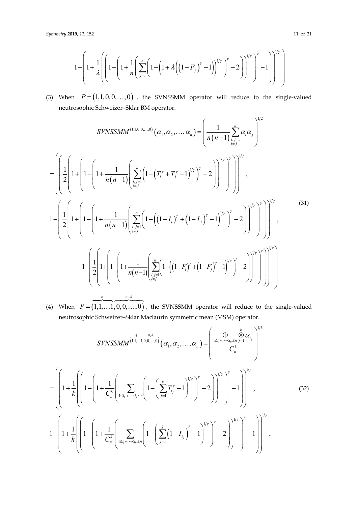$$
1 - \left(1 + \frac{1}{\lambda} \left[ \left(1 - \left(1 + \frac{1}{n} \left( \sum_{j=1}^{n} \left(1 - \left(1 + \lambda \left( \left(1 - F_j \right)^{\gamma} - 1 \right) \right)^{1/\gamma} \right)^{\gamma} - 2 \right) \right)^{1/\gamma} \right)^{\gamma} - 1 \right] \right)^{1/\gamma} \right)
$$

(3) When  $P = (1,1,0,0,...,0)$ , the SVNSSMM operator will reduce to the single-valued neutrosophic Schweizer–Sklar BM operator.

$$
SYNSSMM^{(1,1,0,0,...,0)}(\alpha_1, \alpha_2, ..., \alpha_n) = \left(\frac{1}{n(n-1)} \sum_{\substack{i,j=1 \ i \neq j}}^n \alpha_i \alpha_j\right)^{1/2}
$$

$$
= \left(\left[\frac{1}{2}\left(1 + \left(1 - \left(1 + \frac{1}{n(n-1)}\left(\sum_{\substack{i,j=1 \ i \neq j}}^n \left(1 - \left(T_i^{\gamma} + T_j^{\gamma} - 1\right)^{1/\gamma}\right)^{\gamma} - 2\right)\right)^{1/\gamma}\right)^{1/\gamma}\right]^{1/\gamma},
$$

$$
1 - \left(\frac{1}{2}\left(1 + \left(1 - \left(1 + \frac{1}{n(n-1)}\left(\sum_{\substack{i,j=1 \ i \neq j}}^n \left(1 - \left(\left(1 - I_i\right)^{\gamma} + \left(1 - I_j\right)^{\gamma} - 1\right)^{1/\gamma}\right)^{\gamma} - 2\right)\right)^{1/\gamma}\right)^{1/\gamma}\right)^{1/\gamma}\right)^{1/\gamma}
$$

$$
1 - \left(\frac{1}{2}\left(1 + \left(1 - \left(1 + \frac{1}{n(n-1)}\left(\sum_{\substack{i,j=1 \ i \neq j}}^n \left(1 - \left(\left(1 - F_i\right)^{\gamma} + \left(1 - F_j\right)^{\gamma} - 1\right)^{1/\gamma}\right)^{\gamma} - 2\right)\right)^{1/\gamma}\right)^{1/\gamma}\right)^{1/\gamma}\right)
$$

$$
1 - \left(\frac{1}{2}\left(1 + \left(1 - \left(1 + \frac{1}{n(n-1)}\left(\sum_{\substack{i,j=1 \ i \neq j}}^n \left(1 - \left(\left(1 - F_i\right)^{\gamma} + \left(1 - F_j\right)^{\gamma} - 1\right)^{1/\gamma}\right)^{\gamma} - 2\right)\right)^{1/\gamma}\right)^{1/\gamma}\right)^{1/\gamma}\right)
$$
(31)

(4) When  $P = (1, 1, \ldots, 1, 0, 0, \ldots, 0)$ *P*  $=$  $\overbrace{\hspace{2.5cm}}^{k}$  $..., 1, 0, 0,..., 0)$ , the SVNSSMM operator will reduce to the single-valued neutrosophic Schweizer–Sklar Maclaurin symmetric mean (MSM) operator.

 $k \t n-k$ 

t

$$
SVNSSMM^{(1,1,...1,0,0,...,0)}(\alpha_1, \alpha_2, ..., \alpha_n) = \left(\frac{\sum_{1 \le i_1 < \dots < i_k \le n}^{k} \sum_{j=1}^{n} |I_{j}|^k}{C_n^k}\right)^{1/k}
$$
  
\n
$$
= \left(\left[1 + \frac{1}{k}\left(1 - \left(1 + \frac{1}{C_n^k}\left[\sum_{1 \le i_1 < \dots < i_k \le n} \left(1 - \left(\sum_{j=1}^k T_{i_j}^{\gamma} - 1\right)^{1/\gamma}\right)^{\gamma} - 2\right)\right]^{1/\gamma}\right)^{1/\gamma}\right)^{1/k}
$$
  
\n
$$
1 - \left(1 + \frac{1}{k}\left(\left[1 - \left(1 + \frac{1}{C_n^k}\left(\sum_{1 \le i_1 < \dots < i_k \le n} \left(1 - \left(\sum_{j=1}^k (1 - I_{i_j})^{\gamma} - 1\right)^{1/\gamma}\right)^{\gamma} - 2\right)\right]^{1/\gamma}\right)^{1/\gamma}\right)^{1/\gamma}\right)^{1/\gamma},
$$
\n(32)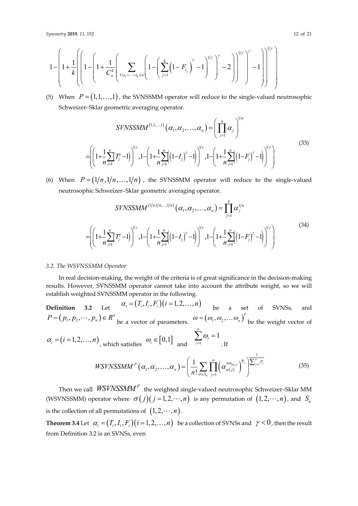$$
1 - \left(1 + \frac{1}{k} \left[ \left(1 - \left(1 + \frac{1}{C_n^k} \left( \sum_{1 \le i_1 < \dots < i_k \le n} \left(1 - \left(\sum_{j=1}^k \left(1 - F_{i_j}\right)^{\gamma} - 1\right)^{1/\gamma}\right)^{\gamma} - 2\right) \right]^{1/\gamma} \right)^{\gamma} \right] \right)^{1/\gamma} \right)
$$

(5) When  $P = (1,1,...,1)$ , the SVNSSMM operator will reduce to the single-valued neutrosophic Schweizer–Sklar geometric averaging operator.

$$
SVNSSMM^{(1,1,...,1)}(\alpha_1, \alpha_2, ..., \alpha_n) = \left(\prod_{j=1}^n \alpha_j\right)^{1/n}
$$

$$
= \left(\left(1 + \frac{1}{n}\sum_{j=1}^n (T_j' - 1)\right)^{1/\gamma}, 1 - \left(1 + \frac{1}{n}\sum_{j=1}^n \left((1 - I_j)'' - 1\right)\right)^{1/\gamma}, 1 - \left(1 + \frac{1}{n}\sum_{j=1}^n \left((1 - F_j)'' - 1\right)\right)^{1/\gamma}\right)
$$
(33)

(6) When  $P = (1/n, 1/n, ..., 1/n)$ , the SVNSSMM operator will reduce to the single-valued neutrosophic Schweizer–Sklar geometric averaging operator.

$$
SIVNSSMM^{(1/n,1/n,...,1/n)}(\alpha_1, \alpha_2,..., \alpha_n) = \prod_{j=1}^n \alpha_j^{1/n}
$$

$$
= \left( \left( 1 + \frac{1}{n} \sum_{j=1}^n (T_j^{\prime} - 1) \right)^{1/\gamma}, 1 - \left( 1 + \frac{1}{n} \sum_{j=1}^n \left( (1 - I_j)^{\prime} - 1 \right) \right)^{1/\gamma}, 1 - \left( 1 + \frac{1}{n} \sum_{j=1}^n \left( (1 - F_j)^{\prime} - 1 \right) \right)^{1/\gamma} \right)
$$
(34)

## *3.2. The WSVNSSMM Operator*

In real decision-making, the weight of the criteria is of great significance in the decision-making results. However, SVNSSMM operator cannot take into account the attribute weight, so we will establish weighted SVNSSMM operator in the following.

**Definition 3.2** Let  $\alpha_i = (T_i, I_i, F_i)(i = 1, 2, ..., n)$  be a set of SVNSs, and  $P = (p_1, p_2, \dots, p_n) \in R^n$  be a vector of parameters.  $\omega = (\omega_1, \omega_2, \dots \omega_n)^T$  be the weight vector of  $\alpha_i = (i = 1, 2, ..., n)$ , which satisfies  $\omega_i \in [0, 1]$  and  $\sum_{i=1}^{n} \omega_i = 1$ *n i i*  $\omega$  $\sum_{i=1}\omega_i =$ . If  $\left(\alpha_1,\alpha_2,\ldots,\alpha_n\right)=\left|\frac{1}{n!}\sum\prod\limits_{i=1}^n\left(\alpha_{\sigma(j)}^{n\omega_{\sigma(j)}}\right)^{r_j}\right|^{\sum_{j=1}^n}$ 1 P  $_{1}$ ,  $\alpha_{2}$  $\boldsymbol{\beta}(\boldsymbol{\alpha}_2, \ldots, \boldsymbol{\alpha}_n) = \left(\frac{1}{n!} \sum_{\sigma \in S_n} \prod_{j=1}^n \left(\alpha_{\sigma(j)}^{n\omega_{\sigma(j)}}\right)^{p_j}\right)^{\sum_{j=1}^n p_j}$ *n*  $P_{\ell}(\alpha, \alpha) = \left( \frac{1}{N} \sum_{j=1}^{n} \left[ \alpha^{n \omega_{\sigma(j)}} \right]^{P_{j}} \right] \sum_{j=1}^{n} P_{j}$  $n f^{-}$   $\left( n ! \sum_{\sigma \in S_n} \prod_{j=1}^{\infty} {\alpha_{\sigma(j)}}$ *WSVNSSMM n*  $\omega_{\sigma}$  $\sum_{\sigma \in S_n} \prod_{i=1}$  $(\alpha_1, \alpha_2, \ldots, \alpha_n) = \left[ \begin{array}{c} 1 \\ -1 \end{array} \right] \left[ \begin{array}{c} \alpha_1^{n_0(\sigma(i))} \\ \alpha_2^{n_1(\sigma(i))} \end{array} \right]^{1/2}$  $\in S_n$  j=  $=\left(\frac{1}{n}\sum_{i}\prod_{j}^{n}\left(\alpha^{n\omega_{\sigma(j)}}_{\sigma(j)}\right)^{p_{j}}\right)^{\sum_{i}}$  $\left( n:\frac{1}{\sigma\in S_n}$   $\frac{1}{j=1}$  \cdot \cdot \cdot \cdot \cdot \cdot \cdot \cdot \cdot \cdot \cdot \cdot \cdot \cdot \cdot \cdot \cdot \cdot \cdot \cdot \cdot \cdot \cdot \cdot \cdot \cdot \cdot \cdot \cdot \cdot \cdot \cdo  $\ldots, \alpha_n$ ) =  $\frac{1}{n!} \sum_{n} \prod \left( \alpha_{\sigma(j)}^{n\omega_{\sigma(j)}} \right)^{n} \left| \alpha_{j=1}^{j-1} \right|^{n}$  (35)

Then we call *WSVNSSMM<sup>P</sup>* the weighted single-valued neutrosophic Schweizer–Sklar MM (WSVNSSMM) operator where  $\sigma(j)(j = 1, 2, \dots, n)$  is any permutation of  $(1, 2, \dots, n)$ , and  $S_n$ is the collection of all permutations of  $(1, 2, \dots, n)$ .

**Theorem 3.4** Let  $\alpha_i = (T_i, I_i, F_i)$   $(i = 1, 2, ..., n)$  be a collection of SVNSs and  $\gamma < 0$ , then the result from Definition 3.2 is an SVNSs, even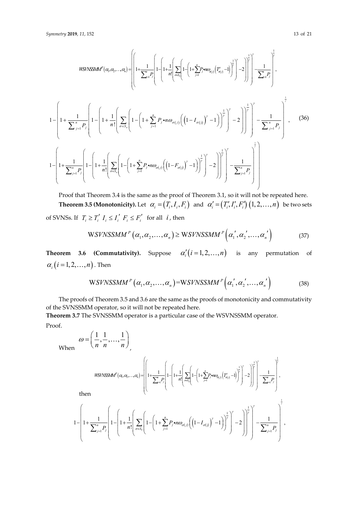$$
WSTASSMA^{P}(a, a_{2},..., a_{n}) = \left[\left(1 + \frac{1}{\sum_{j=1}^{n} P_{j}}\left(1 - \left(1 + \frac{1}{\sum_{j=1}^{n} P_{j}}\right)\left(1 - \left(1 + \frac{1}{\sum_{j=1}^{n} P_{j}}\right)\left(1 - \left(1 + \frac{1}{\sum_{j=1}^{n} P_{j}}\right)\left(\frac{1}{\sigma(s_{i})}\left(\frac{1}{\sigma(s_{i})}\right)^{2}\right)\right)^{2}\right)^{2}\right)^{2}\right]^{2}\right]^{2}\left[\frac{1}{\sum_{j=1}^{n} P_{j}}\right]^{2},
$$
\n
$$
1 - \left(1 + \frac{1}{\sum_{j=1}^{n} P_{j}}\left(1 - \left(1 + \frac{1}{\sum_{j=1}^{n} P_{j}}\left(1 - \left(1 + \frac{1}{\sum_{j=1}^{n} P_{j}}\right)\left(\frac{1}{\sigma(s_{i})}\left(\frac{1}{\sigma(s_{i})}\right)^{2} - 1\right)\right)^{2}\right)^{2}\right)^{2}\right)^{2}\right]^{2}\left[\frac{1}{\sum_{j=1}^{n} P_{j}}\right]^{2},
$$
\n
$$
1 - \left(1 + \frac{1}{\sum_{j=1}^{n} P_{j}}\left(1 - \left(1 + \frac{1}{\sum_{j=1}^{n} P_{j}}\left(1 - \left(1 + \frac{1}{\sum_{j=1}^{n} P_{j}}\right)\left(\frac{1}{\sigma(s_{i})}\left(\frac{1}{\sigma(s_{i})}\right)^{2} - 1\right)\right)^{2}\right)^{2}\right)^{2}\right)^{2}\right]^{2}\left[\frac{1}{\sum_{j=1}^{n} P_{j}}\right]^{2},
$$
\n
$$
(36)
$$

Proof that Theorem 3.4 is the same as the proof of Theorem 3.1, so it will not be repeated here. **Theorem 3.5 (Monotonicity).** Let  $\alpha_i = (T_i, I_i, F_i)$  and  $\alpha'_i = (T'_i, I'_i, F'_i)$   $(1, 2, ..., n)$  be two sets of SVNSs. If  $T_i \geq T'_i$   $I_i \leq I'_i$   $F_i \leq F'_i$  for all  $i$ , then

$$
WSVNSSMM^{P}(\alpha_{1}, \alpha_{2},..., \alpha_{n}) \ge WSVNSSMM^{P}(\alpha_{1}', \alpha_{2}',..., \alpha_{n}') \qquad (37)
$$

**Theorem 3.6 (Commutativity).** Suppose  $\alpha'_i(i=1,2,...,n)$  is any permutation of  $\alpha_i$  (*i* = 1, 2, ..., *n*). Then

$$
WSVNSSMM^{P}\left(\alpha_{1},\alpha_{2},\ldots,\alpha_{n}\right)=WSVNSSMM^{P}\left(\alpha_{1}^{\prime},\alpha_{2}^{\prime},\ldots,\alpha_{n}^{\prime}\right)
$$
\n(38)

The proofs of Theorem 3.5 and 3.6 are the same as the proofs of monotonicity and commutativity of the SVNSSMM operator, so it will not be repeated here.

**Theorem 3.7** The SVNSSMM operator is a particular case of the WSVNSSMM operator.

Proof.

When  $\omega = \left(\frac{n}{n}, \frac{n}{n}, \ldots, \frac{n}{n}\right)$  $=\left(\frac{1}{n},\frac{1}{n},\ldots,\frac{1}{n}\right)$ 

 $\frac{1}{-}, \frac{1}{-}, \ldots, \frac{1}{-}$ 

$$
\textit{MSINSSMM}^p(\alpha_i,\alpha_2,\ldots,\alpha_n) = \left[\left(1+\frac{1}{\sum_{j=1}^n P_j}\left(1-\left(1+\frac{1}{n!}\left(\sum_{\sigma\in S_n}\left(1-\left(1+\sum_{j=1}^n P_j\bullet n\omega_{d(j)}\left(T_{d(j)}^v-1\right)\right)^{\frac{1}{p}}\right)^2-2\right)\right)^{\frac{1}{p}}\right]^{\frac{1}{p}}\right] - \frac{1}{\sum_{j=1}^n P_j}\right],
$$

then

$$
1 - \left[1 + \frac{1}{\sum_{j=1}^{n} P_j}\left(1 - \left(1 + \frac{1}{n!}\left(\sum_{\sigma \in S_n} \left(1 - \left(1 + \sum_{j=1}^{n} P_j \cdot n \omega_{\sigma(j)} \left(\left(1 - I_{\sigma(j)}\right)^{\gamma} - 1\right)\right)^{\frac{1}{\gamma}}\right)^{\gamma} - 2\right)\right]^{\frac{1}{\gamma}}\right)^{\gamma} - \frac{1}{\sum_{j=1}^{n} P_j}\right]^{\frac{1}{\gamma}},
$$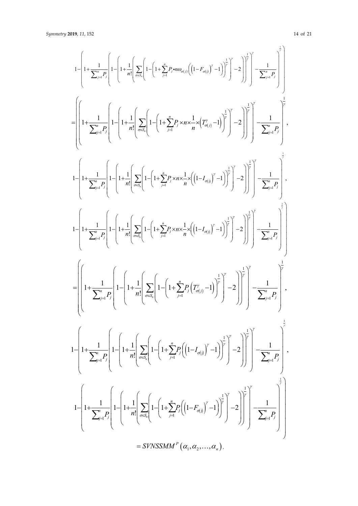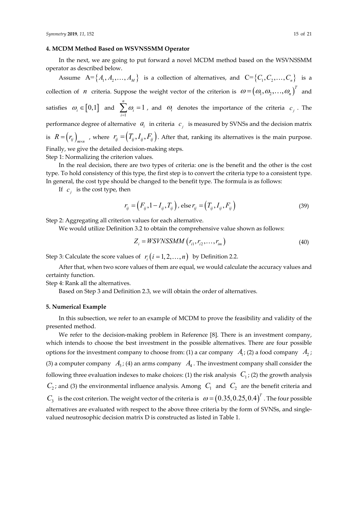#### **4. MCDM Method Based on WSVNSSMM Operator**

In the next, we are going to put forward a novel MCDM method based on the WSVNSSMM operator as described below.

Assume  $A = \{A_1, A_2, ..., A_M\}$  is a collection of alternatives, and  $C = \{C_1, C_2, ..., C_n\}$  is a collection of *n* criteria. Suppose the weight vector of the criterion is  $\omega = (\omega_1, \omega_2, ..., \omega_n)^T$  and satisfies  $\omega_i \in [0,1]$  and 1 1 *n i i*  $\omega$  $\sum_{i=1}^{\infty} \omega_i = 1$ , and  $\omega_i$  denotes the importance of the criteria  $c_j$ . The performance degree of alternative  $a_i$  in criteria  $c_i$  is measured by SVNSs and the decision matrix is  $R = (r_{ij})_{m \times n}$ , where  $r_{ij} = (T_{ij}, I_{ij}, F_{ij})$ . After that, ranking its alternatives is the main purpose. Finally, we give the detailed decision-making steps. Step 1: Normalizing the criterion values.

In the real decision, there are two types of criteria: one is the benefit and the other is the cost type. To hold consistency of this type, the first step is to convert the criteria type to a consistent type. In general, the cost type should be changed to the benefit type. The formula is as follows:

If  $c_i$  is the cost type, then

$$
r_{ij} = (F_{ij}, 1 - I_{ij}, T_{ij}), \text{ else } r_{ij} = (T_{ij}, I_{ij}, F_{ij})
$$
\n(39)

Step 2: Aggregating all criterion values for each alternative.

We would utilize Definition 3.2 to obtain the comprehensive value shown as follows:

$$
Z_i = WSVNSSMM(r_{i1}, r_{i2}, \dots, r_{im})
$$
\n(40)

Step 3: Calculate the score values of  $r_i$   $(i = 1, 2, ..., n)$  by Definition 2.2.

After that, when two score values of them are equal, we would calculate the accuracy values and certainty function.

Step 4: Rank all the alternatives.

Based on Step 3 and Definition 2.3, we will obtain the order of alternatives.

## **5. Numerical Example**

In this subsection, we refer to an example of MCDM to prove the feasibility and validity of the presented method.

We refer to the decision-making problem in Reference [8]. There is an investment company, which intends to choose the best investment in the possible alternatives. There are four possible options for the investment company to choose from: (1) a car company  $A_1$ ; (2) a food company  $A_2$ ; (3) a computer company  $A_3$ ; (4) an arms company  $A_4$ . The investment company shall consider the following three evaluation indexes to make choices: (1) the risk analysis  $C_1$ ; (2) the growth analysis  $C_2$ ; and (3) the environmental influence analysis. Among  $C_1$  and  $C_2$  are the benefit criteria and  $C_3$  is the cost criterion. The weight vector of the criteria is  $\omega = (0.35,0.25,0.4)^T$ . The four possible alternatives are evaluated with respect to the above three criteria by the form of SVNSs, and singlevalued neutrosophic decision matrix D is constructed as listed in Table 1.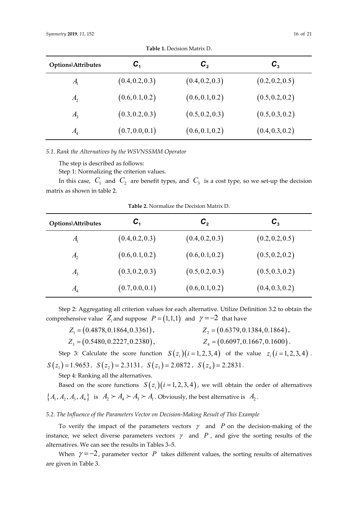| Options\Attributes | $C_{1}$         | $\bm{C}_{2}$    | $C_{\tiny{3}}$  |
|--------------------|-----------------|-----------------|-----------------|
| $A_{1}$            | (0.4, 0.2, 0.3) | (0.4, 0.2, 0.3) | (0.2, 0.2, 0.5) |
| $A_{2}$            | (0.6, 0.1, 0.2) | (0.6, 0.1, 0.2) | (0.5, 0.2, 0.2) |
| $A_{3}$            | (0.3, 0.2, 0.3) | (0.5, 0.2, 0.3) | (0.5, 0.3, 0.2) |
| A <sub>4</sub>     | (0.7, 0.0, 0.1) | (0.6, 0.1, 0.2) | (0.4, 0.3, 0.2) |

**Table 1.** Decision Matrix D.

*5.1. Rank the Alternatives by the WSVNSSMM Operator*

The step is described as follows:

Step 1: Normalizing the criterion values.

In this case,  $C_1$  and  $C_2$  are benefit types, and  $C_3$  is a cost type, so we set-up the decision matrix as shown in table 2.

| Options\Attributes | $\bm{C}_1$      | $\bm{C}_{2}$    | $\bm{C}_3$      |
|--------------------|-----------------|-----------------|-----------------|
| $A_{\rm i}$        | (0.4, 0.2, 0.3) | (0.4, 0.2, 0.3) | (0.2, 0.2, 0.5) |
| A <sub>2</sub>     | (0.6, 0.1, 0.2) | (0.6, 0.1, 0.2) | (0.5, 0.2, 0.2) |
| $A_{3}$            | (0.3, 0.2, 0.3) | (0.5, 0.2, 0.3) | (0.5, 0.3, 0.2) |
| A <sub>4</sub>     | (0.7, 0.0, 0.1) | (0.6, 0.1, 0.2) | (0.4, 0.3, 0.2) |

**Table 2.** Normalize the Decision Matrix D.

Step 2: Aggregating all criterion values for each alternative. Utilize Definition 3.2 to obtain the comprehensive value  $Z_i$  and suppose  $P = (1,1,1)$  and  $\gamma = -2$  that have

| $Z_1 = (0.4878, 0.1864, 0.3361),$ | $Z_2 = (0.6379, 0.1384, 0.1864),$  |
|-----------------------------------|------------------------------------|
| $Z_3 = (0.5480, 0.2227, 0.2380),$ | $Z_4 = (0.6097, 0.1667, 0.1600)$ . |

Step 3: Calculate the score function  $S(z_i)(i=1, 2, 3, 4)$  of the value  $z_i(i=1, 2, 3, 4)$ .  $S(z_1) = 1.9653$ ,  $S(z_2) = 2.3131$ ,  $S(z_3) = 2.0872$ ,  $S(z_4) = 2.2831$ .

Step 4: Ranking all the alternatives.

Based on the score functions  $S(z_i)(i=1,2,3,4)$ , we will obtain the order of alternatives  $\{A_1, A_2, A_3, A_4\}$  is  $A_2 \succ A_4 \succ A_3 \succ A_1$ . Obviously, the best alternative is  $A_2$ .

## *5.2. The Influence of the Parameters Vector on Decision-Making Result of This Example*

To verify the impact of the parameters vectors  $\gamma$  and *P* on the decision-making of the instance, we select diverse parameters vectors  $\gamma$  and  $P$ , and give the sorting results of the alternatives. We can see the results in Tables 3–5.

When  $\gamma = -2$ , parameter vector *P* takes different values, the sorting results of alternatives are given in Table 3.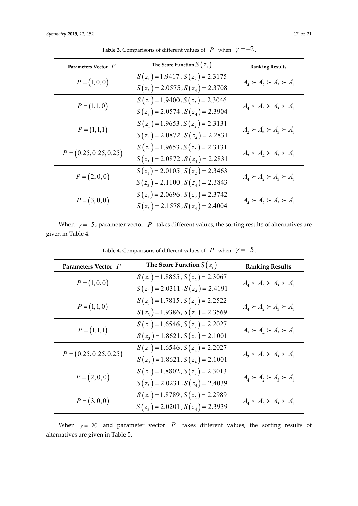| Parameters Vector $P$    | The Score Function $S(z_i)$           | <b>Ranking Results</b>              |
|--------------------------|---------------------------------------|-------------------------------------|
| $P = (1,0,0)$            | $S(z_1) = 1.9417$ , $S(z_2) = 2.3175$ | $A_4 \succ A_2 \succ A_3 \succ A_1$ |
|                          | $S(z_3) = 2.0575$ , $S(z_4) = 2.3708$ |                                     |
| $P = (1,1,0)$            | $S(z_1) = 1.9400$ , $S(z_2) = 2.3046$ | $A_4 \succ A_2 \succ A_3 \succ A_1$ |
|                          | $S(z_3) = 2.0574$ , $S(z_4) = 2.3904$ |                                     |
|                          | $S(z_1) = 1.9653$ , $S(z_2) = 2.3131$ |                                     |
| $P = (1,1,1)$            | $S(z_3) = 2.0872$ , $S(z_4) = 2.2831$ | $A_2 \succ A_4 \succ A_3 \succ A_1$ |
| $P = (0.25, 0.25, 0.25)$ | $S(z_1) = 1.9653$ , $S(z_2) = 2.3131$ |                                     |
|                          | $S(z_3) = 2.0872$ , $S(z_4) = 2.2831$ | $A_2 \succ A_4 \succ A_3 \succ A_1$ |
| $P = (2,0,0)$            | $S(z_1) = 2.0105$ , $S(z_2) = 2.3463$ |                                     |
|                          | $S(z_3) = 2.1100$ , $S(z_4) = 2.3843$ | $A_4 \succ A_2 \succ A_3 \succ A_1$ |
|                          | $S(z_1) = 2.0696$ , $S(z_2) = 2.3742$ |                                     |
| $P = (3,0,0)$            | $S(z_3) = 2.1578$ , $S(z_4) = 2.4004$ | $A_4 \succ A_2 \succ A_3 \succ A_1$ |

**Table 3.** Comparisons of different values of *P* when  $\gamma = -2$ .

When  $\gamma = -5$ , parameter vector *P* takes different values, the sorting results of alternatives are given in Table 4.

| Parameters Vector P      | The Score Function $S(z_i)$                                                    | <b>Ranking Results</b>              |
|--------------------------|--------------------------------------------------------------------------------|-------------------------------------|
| $P = (1,0,0)$            | $S(z_1) = 1.8855$ , $S(z_2) = 2.3067$<br>$S(z_3) = 2.0311$ , $S(z_4) = 2.4191$ | $A_4 \succ A_2 \succ A_3 \succ A_1$ |
| $P = (1,1,0)$            | $S(z_1) = 1.7815$ , $S(z_2) = 2.2522$<br>$S(z_3) = 1.9386$ , $S(z_4) = 2.3569$ | $A_4 \succ A_2 \succ A_3 \succ A_1$ |
| $P = (1,1,1)$            | $S(z_1) = 1.6546$ , $S(z_2) = 2.2027$<br>$S(z_3) = 1.8621, S(z_4) = 2.1001$    | $A_2 \succ A_4 \succ A_3 \succ A_1$ |
| $P = (0.25, 0.25, 0.25)$ | $S(z_1) = 1.6546$ , $S(z_2) = 2.2027$<br>$S(z_3) = 1.8621, S(z_4) = 2.1001$    | $A_2 \succ A_4 \succ A_3 \succ A_1$ |
| $P = (2,0,0)$            | $S(z_1) = 1.8802$ , $S(z_2) = 2.3013$<br>$S(z_3) = 2.0231$ , $S(z_4) = 2.4039$ | $A_4 \succ A_2 \succ A_3 \succ A_1$ |
| $P = (3,0,0)$            | $S(z_1) = 1.8789$ , $S(z_2) = 2.2989$<br>$S(z_3) = 2.0201$ , $S(z_4) = 2.3939$ | $A_4 \succ A_2 \succ A_3 \succ A_1$ |

**Table 4.** Comparisons of different values of *P* when  $\gamma = -5$ .

When  $\gamma = -20$  and parameter vector *P* takes different values, the sorting results of alternatives are given in Table 5.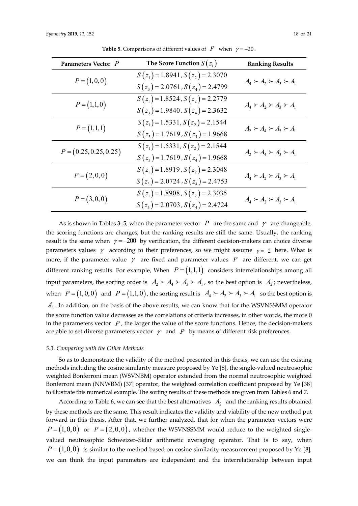| Parameters Vector P      | The Score Function $S(z_i)$                                                    | <b>Ranking Results</b>              |
|--------------------------|--------------------------------------------------------------------------------|-------------------------------------|
| $P = (1,0,0)$            | $S(z_1) = 1.8941, S(z_2) = 2.3070$<br>$S(z_3) = 2.0761$ , $S(z_4) = 2.4799$    | $A_4 \succ A_2 \succ A_3 \succ A_1$ |
| $P = (1,1,0)$            | $S(z_1) = 1.8524$ , $S(z_2) = 2.2779$<br>$S(z_3) = 1.9840$ , $S(z_4) = 2.3632$ | $A_4 \succ A_2 \succ A_3 \succ A_1$ |
| $P = (1,1,1)$            | $S(z_1) = 1.5331, S(z_2) = 2.1544$<br>$S(z_3) = 1.7619$ , $S(z_4) = 1.9668$    | $A_2 \succ A_4 \succ A_3 \succ A_1$ |
| $P = (0.25, 0.25, 0.25)$ | $S(z_1) = 1.5331, S(z_2) = 2.1544$<br>$S(z_3) = 1.7619$ , $S(z_4) = 1.9668$    | $A_2 \succ A_4 \succ A_3 \succ A_1$ |
| $P = (2,0,0)$            | $S(z_1) = 1.8919$ , $S(z_2) = 2.3048$<br>$S(z_3) = 2.0724$ , $S(z_4) = 2.4753$ | $A_4 \succ A_2 \succ A_3 \succ A_1$ |
| $P = (3,0,0)$            | $S(z_1) = 1.8908$ , $S(z_2) = 2.3035$<br>$S(z_3) = 2.0703$ , $S(z_4) = 2.4724$ | $A_4 \succ A_2 \succ A_3 \succ A_1$ |

**Table 5.** Comparisons of different values of  $P$  when  $\gamma = -20$ .

As is shown in Tables 3–5, when the parameter vector  $P$  are the same and  $\gamma$  are changeable, the scoring functions are changes, but the ranking results are still the same. Usually, the ranking result is the same when  $\gamma = -200$  by verification, the different decision-makers can choice diverse parameters values  $\gamma$  according to their preferences, so we might assume  $\gamma = -2$  here. What is more, if the parameter value  $\gamma$  are fixed and parameter values  $P$  are different, we can get different ranking results. For example, When  $P = (1,1,1)$  considers interrelationships among all input parameters, the sorting order is  $A_2 \succ A_4 \succ A_3 \succ A_1$ , so the best option is  $A_2$ ; nevertheless, when  $P = (1,0,0)$  and  $P = (1,1,0)$ , the sorting result is  $A_4 \succ A_2 \succ A_3 \succ A_1$  so the best option is *A*<sup>4</sup> . In addition, on the basis of the above results, we can know that for the WSVNSSMM operator the score function value decreases as the correlations of criteria increases, in other words, the more 0 in the parameters vector  $P$ , the larger the value of the score functions. Hence, the decision-makers are able to set diverse parameters vector  $\gamma$  and  $P$  by means of different risk preferences.

#### *5.3. Comparing with the Other Methods*

So as to demonstrate the validity of the method presented in this thesis, we can use the existing methods including the cosine similarity measure proposed by Ye [8], the single-valued neutrosophic weighted Bonferroni mean (WSVNBM) operator extended from the normal neutrosophic weighted Bonferroni mean (NNWBM) [37] operator, the weighted correlation coefficient proposed by Ye [38] to illustrate this numerical example. The sorting results of these methods are given from Tables 6 and 7.

According to Table 6, we can see that the best alternatives  $A_2$  and the ranking results obtained by these methods are the same. This result indicates the validity and viability of the new method put forward in this thesis. After that, we further analyzed, that for when the parameter vectors were  $P = (1,0,0)$  or  $P = (2,0,0)$ , whether the WSVNSSMM would reduce to the weighted singlevalued neutrosophic Schweizer–Sklar arithmetic averaging operator. That is to say, when  $P = (1,0,0)$  is similar to the method based on cosine similarity measurement proposed by Ye [8], we can think the input parameters are independent and the interrelationship between input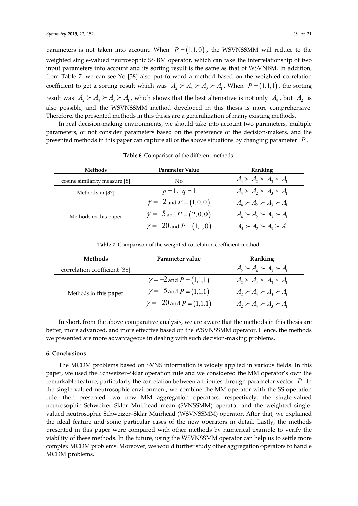parameters is not taken into account. When  $P = (1,1,0)$ , the WSVNSSMM will reduce to the weighted single-valued neutrosophic SS BM operator, which can take the interrelationship of two input parameters into account and its sorting result is the same as that of WSVNBM. In addition, from Table 7, we can see Ye [38] also put forward a method based on the weighted correlation coefficient to get a sorting result which was  $A_2 \succ A_4 \succ A_3 \succ A_1$ . When  $P = (1,1,1)$ , the sorting result was  $A_2 \succ A_4 \succ A_3 \succ A_1$ , which shows that the best alternative is not only  $A_4$ , but  $A_2$  is also possible, and the WSVNSSMM method developed in this thesis is more comprehensive. Therefore, the presented methods in this thesis are a generalization of many existing methods.

In real decision-making environments, we should take into account two parameters, multiple parameters, or not consider parameters based on the preference of the decision-makers, and the presented methods in this paper can capture all of the above situations by changing parameter *P* .

| <b>Methods</b>                | Parameter Value                   | Ranking                                                                                                                                     |
|-------------------------------|-----------------------------------|---------------------------------------------------------------------------------------------------------------------------------------------|
| cosine similarity measure [8] | No                                | $A_4 \succ A_2 \succ A_3 \succ A_1$                                                                                                         |
| Methods in [37]               | $p=1, q=1$                        | $A_{4} \succ A_{2} \succ A_{3} \succ A_{1}$                                                                                                 |
|                               | $\gamma = -2$ and $P = (1, 0, 0)$ | $A_{\scriptscriptstyle{A}}\succ A_{\scriptscriptstyle{2}}\succ A_{\scriptscriptstyle{3}}\succ A_{\scriptscriptstyle{1}}$                    |
| Methods in this paper         | $\gamma = -5$ and $P = (2,0,0)$   | $A_{\scriptscriptstyle\Lambda} \succ A_{\scriptscriptstyle\lambda} \succ A_{\scriptscriptstyle\lambda} \succ A_{\scriptscriptstyle\Lambda}$ |
|                               | $\gamma = -20$ and $P = (1,1,0)$  | $A_{\scriptscriptstyle\!A} \succ A_{\scriptscriptstyle\!A} \succ A_{\scriptscriptstyle\!A} \succ A_{\scriptscriptstyle\!A}$                 |

**Table 6.** Comparison of the different methods.

| Methods                      | Parameter value                  | Ranking                             |
|------------------------------|----------------------------------|-------------------------------------|
| correlation coefficient [38] |                                  | $A_2 \succ A_4 \succ A_3 \succ A_1$ |
| Methods in this paper        | $\gamma = -2$ and $P = (1,1,1)$  | $A_2 \succ A_4 \succ A_3 \succ A_1$ |
|                              | $\gamma = -5$ and $P = (1,1,1)$  | $A_2 \succ A_3 \succ A_3 \succ A_1$ |
|                              | $\gamma = -20$ and $P = (1,1,1)$ | $A_2 \succ A_4 \succ A_3 \succ A_1$ |

**Table 7.** Comparison of the weighted correlation coefficient method.

In short, from the above comparative analysis, we are aware that the methods in this thesis are better, more advanced, and more effective based on the WSVNSSMM operator. Hence, the methods we presented are more advantageous in dealing with such decision-making problems.

## **6. Conclusions**

The MCDM problems based on SVNS information is widely applied in various fields. In this paper, we used the Schweizer–Sklar operation rule and we considered the MM operator's own the remarkable feature, particularly the correlation between attributes through parameter vector *P* . In the single-valued neutrosophic environment, we combine the MM operator with the SS operation rule, then presented two new MM aggregation operators, respectively, the single-valued neutrosophic Schweizer–Sklar Muirhead mean (SVNSSMM) operator and the weighted singlevalued neutrosophic Schweizer–Sklar Muirhead (WSVNSSMM) operator. After that, we explained the ideal feature and some particular cases of the new operators in detail. Lastly, the methods presented in this paper were compared with other methods by numerical example to verify the viability of these methods. In the future, using the WSVNSSMM operator can help us to settle more complex MCDM problems. Moreover, we would further study other aggregation operators to handle MCDM problems.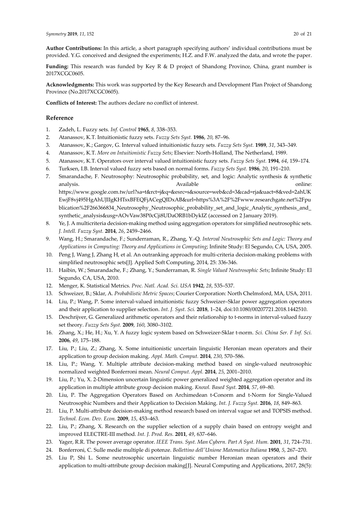**Author Contributions:** In this article, a short paragraph specifying authors' individual contributions must be provided. Y.G. conceived and designed the experiments; H.Z. and F.W. analyzed the data, and wrote the paper.

**Funding:** This research was funded by Key R & D project of Shandong Province, China, grant number is 2017XCGC0605.

**Acknowledgments:** This work was supported by the Key Research and Development Plan Project of Shandong Province (No.2017XCGC0605).

**Conflicts of Interest:** The authors declare no conflict of interest.

## **Reference**

- 1. Zadeh, L. Fuzzy sets. *Inf. Control* **1965**, *8*, 338–353.
- 2. Atanassov, K.T. Intuitionistic fuzzy sets. *Fuzzy Sets Syst.* **1986**, *20*, 87–96.
- 3. Atanassov, K.; Gargov, G. Interval valued intuitionistic fuzzy sets. *Fuzzy Sets Syst.* **1989**, *31*, 343–349.
- 4. Atanassov, K.T. *More on Intuitionistic Fuzzy Sets*; Elsevier: North-Holland, The Netherland, 1989.
- 5. Atanassov, K.T. Operators over interval valued intuitionistic fuzzy sets. *Fuzzy Sets Syst.* **1994**, *64*, 159–174.
- 6. Turksen, I.B. Interval valued fuzzy sets based on normal forms. *Fuzzy Sets Syst.* **1986**, *20*, 191–210.
- 7. Smarandache, F. Neutrosophy: Neutrosophic probability, set, and logic: Analytic synthesis & synthetic analysis. Available online: https://www.google.com.tw/url?sa=t&rct=j&q=&esrc=s&source=web&cd=3&cad=rja&uact=8&ved=2ahUK EwjF8vj495HgAhUJIIgKHTsxBFEQFjACegQIDxAB&url=https%3A%2F%2Fwww.researchgate.net%2Fpu blication%2F266366834\_Neutrosophy\_Neutrosophic\_probability\_set\_and\_logic\_Analytic\_synthesis\_and\_ synthetic\_analysis&usg=AOvVaw38P0cCji8UDaORB1bDykIZ (accessed on 2 January 2019).
- 8. Ye, J. A multicriteria decision-making method using aggregation operators for simplified neutrosophic sets. *J. Intell. Fuzzy Syst.* **2014**, *26*, 2459–2466.
- 9. Wang, H.; Smarandache, F.; Sunderraman, R., Zhang, Y.-Q. *Interval Neutrosophic Sets and Logic: Theory and Applications in Computing: Theory and Applications in Computing*; Infinite Study: El Segundo, CA, USA, 2005.
- 10. Peng J, Wang J, Zhang H, et al. An outranking approach for multi-criteria decision-making problems with simplified neutrosophic sets[J]. Applied Soft Computing, 2014, 25: 336-346.
- 11. Haibin, W.; Smarandache, F.; Zhang, Y.; Sunderraman, R. *Single Valued Neutrosophic Sets*; Infinite Study: El Segundo, CA, USA, 2010.
- 12. Menger, K. Statistical Metrics. *Proc. Natl. Acad. Sci. USA* **1942**, *28*, 535–537.
- 13. Schweizer, B.; Sklar, A. *Probabilistic Metric Spaces*; Courier Corporation: North Chelmsford, MA, USA, 2011.
- 14. Liu, P.; Wang, P. Some interval-valued intuitionistic fuzzy Schweizer–Sklar power aggregation operators and their application to supplier selection. *Int. J. Syst. Sci.* **2018**, 1–24, doi:10.1080/00207721.2018.1442510.
- 15. Deschrijver, G. Generalized arithmetic operators and their relationship to t-norms in interval-valued fuzzy set theory. *Fuzzy Sets Syst.* **2009**, *160*, 3080–3102.
- 16. Zhang, X.; He, H.; Xu, Y. A fuzzy logic system based on Schweizer-Sklar t-norm. *Sci. China Ser. F Inf. Sci.*  **2006**, *49*, 175–188.
- 17. Liu, P.; Liu, Z.; Zhang, X. Some intuitionistic uncertain linguistic Heronian mean operators and their application to group decision making. *Appl. Math. Comput.* **2014**, *230*, 570–586.
- 18. Liu, P.; Wang, Y. Multiple attribute decision-making method based on single-valued neutrosophic normalized weighted Bonferroni mean. *Neural Comput. Appl.* **2014**, *25*, 2001–2010.
- 19. Liu, P.; Yu, X. 2-Dimension uncertain linguistic power generalized weighted aggregation operator and its application in multiple attribute group decision making. *Knowl. Based Syst.* **2014**, *57*, 69–80.
- 20. Liu, P. The Aggregation Operators Based on Archimedean t-Conorm and t-Norm for Single-Valued Neutrosophic Numbers and their Application to Decision Making. *Int. J. Fuzzy Syst.* **2016**, *18*, 849–863.
- 21. Liu, P. Multi-attribute decision-making method research based on interval vague set and TOPSIS method. *Technol. Econ. Dev. Econ.* **2009**, *15*, 453–463.
- 22. Liu, P.; Zhang, X. Research on the supplier selection of a supply chain based on entropy weight and improved ELECTRE-III method. *Int. J. Prod. Res.* **2011**, *49*, 637–646.
- 23. Yager, R.R. The power average operator. *IEEE Trans. Syst. Man Cybern. Part A Syst. Hum.* **2001**, *31*, 724–731.
- 24. Bonferroni, C. Sulle medie multiple di potenze. *Bollettino dell'Unione Matematica Italiana* **1950**, *5*, 267–270.
- 25. Liu P, Shi L. Some neutrosophic uncertain linguistic number Heronian mean operators and their application to multi-attribute group decision making[J]. Neural Computing and Applications, 2017, 28(5):